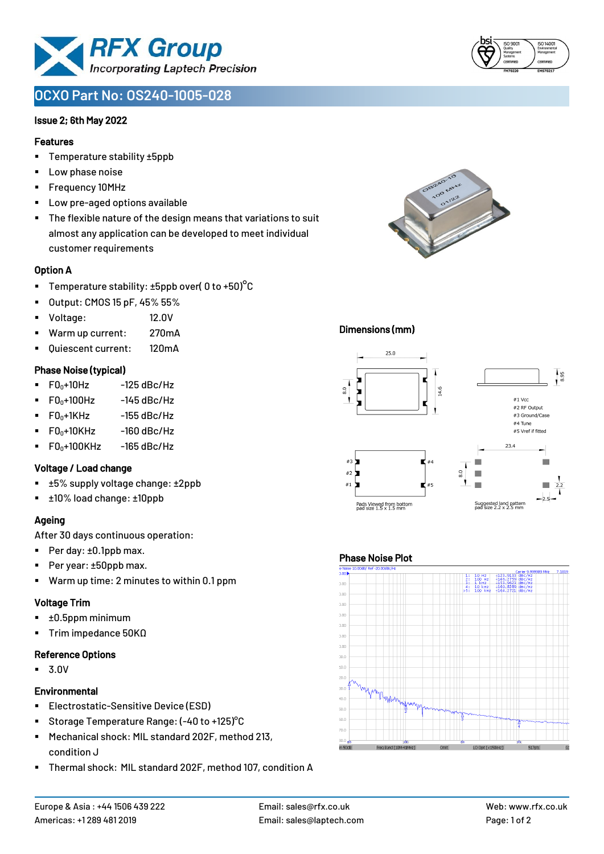

# **OCXO Part No: OS240-1005-028**

# Issue 2; 6th May 2022

### Features

- Temperature stability ±5ppb
- Low phase noise
- Frequency 10MHz
- Low pre-aged options available
- The flexible nature of the design means that variations to suit almost any application can be developed to meet individual customer requirements

# Option A

- **•** Temperature stability:  $\pm 5$ ppb over( 0 to  $\pm 50$ )<sup>o</sup>C
- Output: CMOS 15 pF, 45% 55%
- Voltage: 12.0V
- Warm up current: 270mA
- Quiescent current: 120mA

# Phase Noise (typical)

- $\blacksquare$  F0 $\scriptstyle\bullet$ +10Hz -125 dBc/Hz
- $FO<sub>0</sub>+100Hz$  -145 dBc/Hz
- $F0_0+1$ KHz  $-155$  dBc/Hz
- $F0_0+10K$ Hz  $-160$  dBc/Hz
- $\blacksquare$  F0<sub>0</sub>+100KHz -165 dBc/Hz

# Voltage / Load change

- ±5% supply voltage change: ±2ppb
- ±10% load change: ±10ppb

# Ageing

After 30 days continuous operation:

- Per day: ±0.1ppb max.
- Per year: ±50ppb max.
- Warm up time: 2 minutes to within 0.1 ppm

# Voltage Trim

- $\blacksquare$   $\pm 0.5$ ppm minimum
- Trim impedance 50KΩ

#### Reference Options

▪ 3.0V

# **Environmental**

- **Electrostatic-Sensitive Device (ESD)**
- Storage Temperature Range: (-40 to +125) °C
- Mechanical shock: MIL standard 202F, method 213, condition J
- Thermal shock: MIL standard 202F, method 107, condition A





# Dimensions (mm)



# Phase Noise Plot